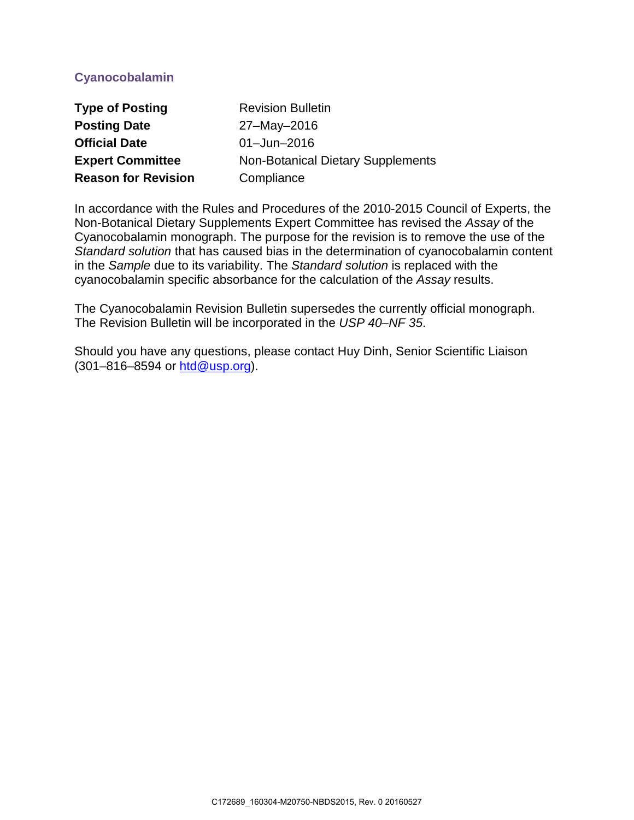# **Cyanocobalamin**

| <b>Type of Posting</b>     | <b>Revision Bulletin</b>                 |
|----------------------------|------------------------------------------|
| <b>Posting Date</b>        | 27-May-2016                              |
| <b>Official Date</b>       | $01 -$ Jun $-2016$                       |
| <b>Expert Committee</b>    | <b>Non-Botanical Dietary Supplements</b> |
| <b>Reason for Revision</b> | Compliance                               |

In accordance with the Rules and Procedures of the 2010-2015 Council of Experts, the Non-Botanical Dietary Supplements Expert Committee has revised the *Assay* of the Cyanocobalamin monograph. The purpose for the revision is to remove the use of the *Standard solution* that has caused bias in the determination of cyanocobalamin content in the *Sample* due to its variability. The *Standard solution* is replaced with the cyanocobalamin specific absorbance for the calculation of the *Assay* results.

The Cyanocobalamin Revision Bulletin supersedes the currently official monograph. The Revision Bulletin will be incorporated in the *USP 40–NF 35*.

Should you have any questions, please contact Huy Dinh, Senior Scientific Liaison (301–816–8594 or [htd@usp.org\)](mailto:htd@usp.org).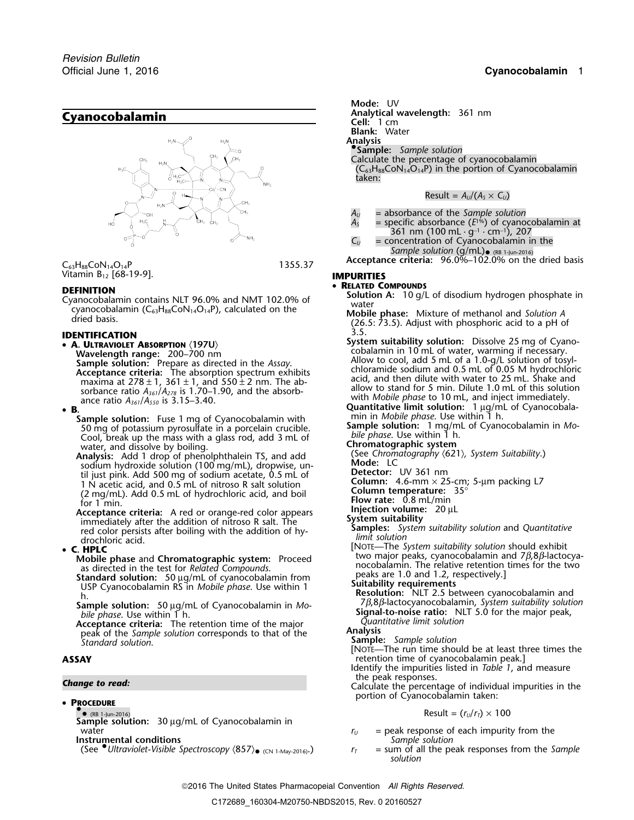

Vitamin B12 [68-19-9]. **IMPURITIES**

- **A. ULTRAVIOLET ABSORPTION** 〈**197U**〉 maxima at 278 ± 1, 361 ± 1, and 550 ± 2 nm. The ab-<br>sorbance ratio  $A_{361}/A_{278}$  is 1.70–1.90, and the absorb-<br>ance ratio  $A_{361}/A_{278}$  is 1.70–1.90, and the absorb-<br>ance ratio  $A_{361}/A_{278}$  is 3.15–3.40.<br>**B**<br>**R**
- 
- **B.**<br> **Complementation Sample solution:** Fuse 1 mg of Cyanocobalamin with<br>
Sample solution: Fuse 1 mg of Cyanocobalamin with<br>
So mg of potassium pyrosulfate in a porcelain crucible.<br>
Cool break un the mass with a glass Cool, break up the mass with a glass rod, add 3 mL of *bile phase*. Use within 1 h. water, and dissolve by boiling.<br>**Inalysis:** Add 1 drop of phenolphthalein TS, and add **Chromatography (621)**, System Suitability.

**Analysis:** Add 1 drop of phenolphthalein TS, and add (See Chromatography of phenolphthalein TS, and add (See Chromatography) sodium hydroxide solution (100 mg/mL), dropwise, un-<br>til just pink, Add 500 mg of sodium acetate, 0.5 mL of **Detector:** UV 361 nm til just pink. Add 500 mg of sodium acetate, 0.5 mL of 1 N acetic acid, and 0.5 mL of nitroso R salt solution The strate acid, and 0.5 mL of nitroso R salt solution<br>  $(2 \text{ mg/mL})$ . Add 0.5 mL of nitroso R salt solution<br>  $(2 \text{ mg/mL})$ . Add 0.5 mL of hydrochloric acid, and boil<br>
for 1 min.<br>
Accentance criteria: A red or orange-red color

Acceptance criteria: A red or orange-red color appears<br>
immediately after the addition of nitroso R salt. The<br>
red color persists after boiling with the addition of hy-<br> **C HPLC**<br> **C C HPLC**<br> **C C C C HPLC**<br> **C C HPLC**<br>

### **C. HPLC**

**Acceptance criteria:** The retention time of the major<br>peak of the *Sample solution* corresponds to that of the<br>*Sample: Sample solution*<br>**ASSAY**<br>**ASSAY**<br>**ASSAY**<br>**ASSAY** 

• **PROCEDURE** •

 $\bullet$ **Sample solution:** 30 µg/mL of Cyanocobalamin in

**Instrumental conditions** 

(See <sup>●</sup>Ultraviolet-Visible Spectroscopy  $\langle 857 \rangle$ • (CN 1-May-2016).)

*.* **Mode:** UV

**Analytical wavelength:** 361 nm **Cyanocobalamin Cell:**<sup>1</sup> cm

**Blank:** Water

**Analysis •**

**.Sample:** *Sample solution* Calculate the percentage of cyanocobalamin

 $(C_{63}H_{88}CoN_{14}O_{14}P)$  in the portion of Cyanocobalamin taken:

### $Result = A_U/(A_S \times C_U)$

- *A<sup>U</sup>* = absorbance of the *Sample solution*
- *A<sup>S</sup>* = specific absorbance (*E*1%.) of cyanocobalamin at 361 nm (100 mL · g−1 · cm−1), 207
- $C_U$  = concentration of Cyanocobalamin in the

Sample solution (g/mL)• (RB 1-Jun-2016)<br>Acceptance criteria: 96.0%–102.0% on the dried basis C<sub>63</sub>H<sub>88</sub>CoN<sub>14</sub>O<sub>14</sub>P

### •

- **DEFINITION**<br> **DEFINITION**<br>
Cyanocobalamin contains NLT 96.0% and NMT 102.0% of **Solution A:** 10 g/L of disodium hydrogen phosphate in water<br> **Solution A:** Working A space: Mixture of methanol and Solution A
	- cyanocobalamin (C63H88CoN14O14P), calculated on the **Mobile phase:** Mixture of methanol and *Solution A* dried basis. (26.5: 73.5). Adjust with phosphoric acid to a pH of

**IDENTIFICATION**<br>
• **A. ULTRAVIOLET ABSORPTION** (197U)<br> **System suitability solution:** Dissolve 25 mg of Cyano-<br>
Wavelength range: 200–700 nm Wavelength range: 200–700 nm<br>**Wavelength range:** 200–700 nm<br>**Sample solution:** Prepare as directed in the *Assay*. Allow to cool, add 5 mL of a 1.0-g/L solution of tosyl-**Acceptance criteria:** The absorption spectrum exhibits end and the addium and 0.5 mL of 0.05 M hydrochloric The absorption spectrum exhibits

- 
- 

- 
- 
- 
- 
- 
- Alto bile phase and Chromatographic system: Proceed<br>
as directed in the test for *Related Compounds*.<br>
Standard solution: 50 μg/mL of cyanocobalamin from<br>
USP Cyanocobalamin RS in *Mobile phase*. Use within 1<br>
LSP Cyanoc

- b.<br>
Acceptance criteria: The retention time of the major<br>
Acceptance criteria: The retention time of the major<br>
Acceptance criteria: The retention time of the major<br>
Acceptance criteria: The retention time of the major<br>
Ac
	-

retention time of cyanocobalamin peak.]

Identify the impurities listed in *Table 1*, and measure

the peak responses. *Change to read:* Calculate the percentage of individual impurities in the portion of Cyanocobalamin taken:

### $Result = (r<sub>U</sub>/r<sub>T</sub>) \times 100$

- water *r* $r_U$  = peak response of each impurity from the **numeritial conditions** *r* $r_U$  = peak response of each impurity from the
	- $r_T$  = sum of all the peak responses from the *Sample solution*

2016 The United States Pharmacopeial Convention *All Rights Reserved.*

Official June 1, 2016 **Cyanocobalamin** 1